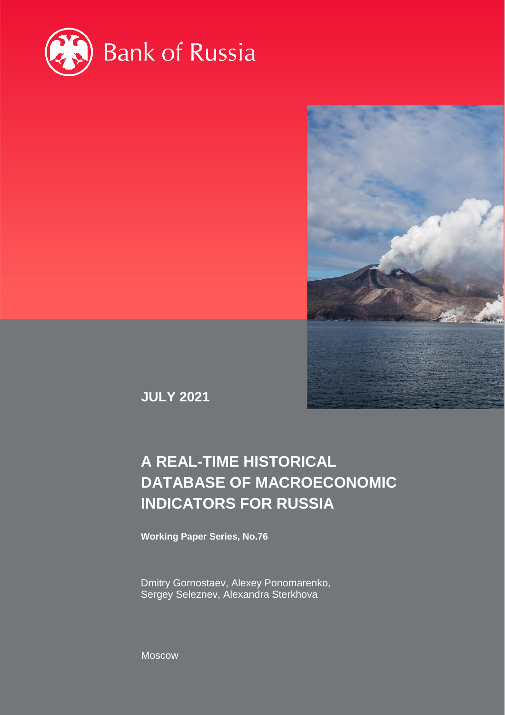



**JULY 2021**

# **A REAL-TIME HISTORICAL DATABASE OF MACROECONOMIC INDICATORS FOR RUSSIA**

**Working Paper Series, No.76**

Dmitry Gornostaev, Alexey Ponomarenko, Sergey Seleznev, Alexandra Sterkhova

Moscow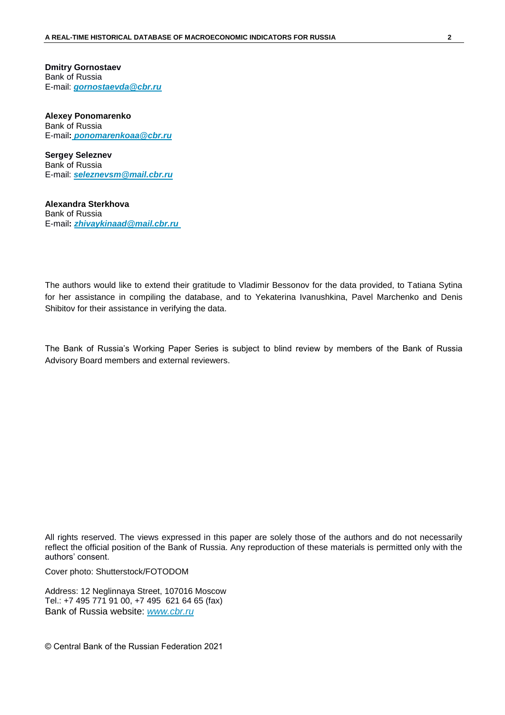**Dmitry Gornostaev** Bank of Russia E-mail: *[gornostaevda@cbr.ru](mailto:gornostaevda@cbr.ru)*

**Alexey Ponomarenko** Bank of Russia E-mail**:** *[ponomarenkoaa@cbr.ru](mailto:ponomarenkoaa@cbr.ru)*

**Sergey Seleznev** Bank of Russia E-mail: *[seleznevsm@mail.cbr.ru](mailto:seleznevsm@mail.cbr.ru)*

**Alexandra Sterkhova**  Bank of Russia E-mail**:** *[zhivaykinaad@mail.cbr.ru](mailto:zhivaykinaad@mail.cbr.ru)*

The authors would like to extend their gratitude to Vladimir Bessonov for the data provided, to Tatiana Sytina for her assistance in compiling the database, and to Yekaterina Ivanushkina, Pavel Marchenko and Denis Shibitov for their assistance in verifying the data.

The Bank of Russia's Working Paper Series is subject to blind review by members of the Bank of Russia Advisory Board members and external reviewers.

All rights reserved. The views expressed in this paper are solely those of the authors and do not necessarily reflect the official position of the Bank of Russia. Any reproduction of these materials is permitted only with the authors' consent.

Cover photo: Shutterstock/FOTODOM

Address: 12 Neglinnaya Street, 107016 Moscow Tel.: +7 495 771 91 00, +7 495 621 64 65 (fax) Bank of Russia website: *[www.cbr.ru](http://www.cbr.ru/)*

© Central Bank of the Russian Federation 2021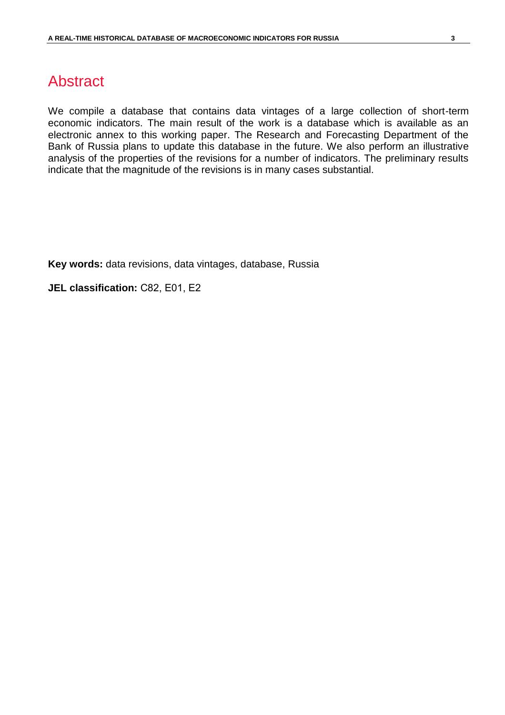## Abstract

We compile a database that contains data vintages of a large collection of short-term economic indicators. The main result of the work is a database which is available as an electronic annex to this working paper. The Research and Forecasting Department of the Bank of Russia plans to update this database in the future. We also perform an illustrative analysis of the properties of the revisions for a number of indicators. The preliminary results indicate that the magnitude of the revisions is in many cases substantial.

**Key words:** data revisions, data vintages, database, Russia

**JEL classification:** С82, E01, E2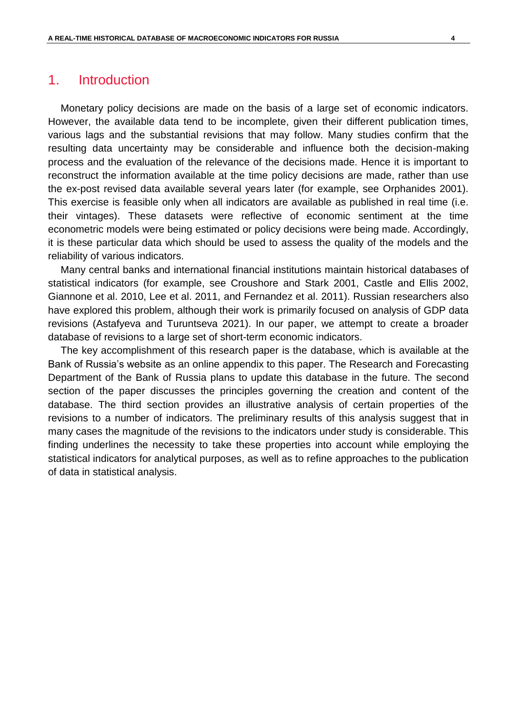## 1. Introduction

Monetary policy decisions are made on the basis of a large set of economic indicators. However, the available data tend to be incomplete, given their different publication times, various lags and the substantial revisions that may follow. Many studies confirm that the resulting data uncertainty may be considerable and influence both the decision-making process and the evaluation of the relevance of the decisions made. Hence it is important to reconstruct the information available at the time policy decisions are made, rather than use the ex-post revised data available several years later (for example, see Orphanides 2001). This exercise is feasible only when all indicators are available as published in real time (i.e. their vintages). These datasets were reflective of economic sentiment at the time econometric models were being estimated or policy decisions were being made. Accordingly, it is these particular data which should be used to assess the quality of the models and the reliability of various indicators.

Many central banks and international financial institutions maintain historical databases of statistical indicators (for example, see Croushore and Stark 2001, Castle and Ellis 2002, Giannone et al. 2010, Lee et al. 2011, and Fernandez et al. 2011). Russian researchers also have explored this problem, although their work is primarily focused on analysis of GDP data revisions (Astafyeva and Turuntseva 2021). In our paper, we attempt to create a broader database of revisions to a large set of short-term economic indicators.

The key accomplishment of this research paper is the database, which is available at the Bank of Russia's website as an online appendix to this paper. The Research and Forecasting Department of the Bank of Russia plans to update this database in the future. The second section of the paper discusses the principles governing the creation and content of the database. The third section provides an illustrative analysis of certain properties of the revisions to a number of indicators. The preliminary results of this analysis suggest that in many cases the magnitude of the revisions to the indicators under study is considerable. This finding underlines the necessity to take these properties into account while employing the statistical indicators for analytical purposes, as well as to refine approaches to the publication of data in statistical analysis.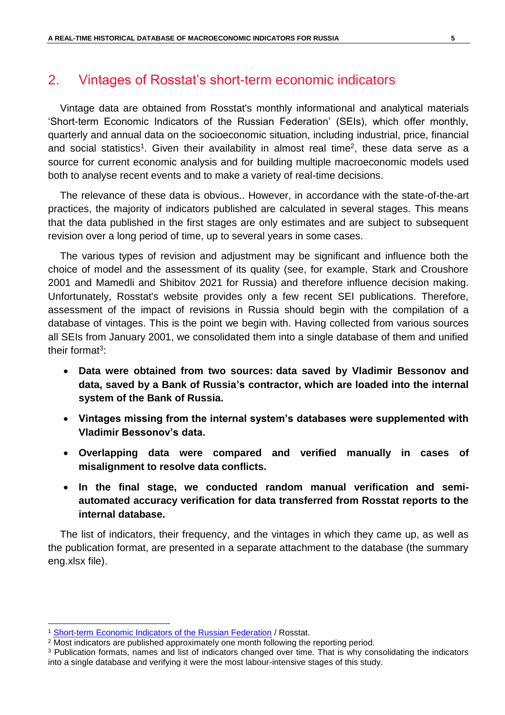## 2. Vintages of Rosstat's short-term economic indicators

Vintage data are obtained from Rosstat's monthly informational and analytical materials 'Short-term Economic Indicators of the Russian Federation' (SEIs), which offer monthly, quarterly and annual data on the socioeconomic situation, including industrial, price, financial and social statistics<sup>1</sup>. Given their availability in almost real time<sup>2</sup>, these data serve as a source for current economic analysis and for building multiple macroeconomic models used both to analyse recent events and to make a variety of real-time decisions.

The relevance of these data is obvious.. However, in accordance with the state-of-the-art practices, the majority of indicators published are calculated in several stages. This means that the data published in the first stages are only estimates and are subject to subsequent revision over a long period of time, up to several years in some cases.

The various types of revision and adjustment may be significant and influence both the choice of model and the assessment of its quality (see, for example, Stark and Croushore 2001 and Mamedli and Shibitov 2021 for Russia) and therefore influence decision making. Unfortunately, Rosstat's website provides only a few recent SEI publications. Therefore, assessment of the impact of revisions in Russia should begin with the compilation of a database of vintages. This is the point we begin with. Having collected from various sources all SEIs from January 2001, we consolidated them into a single database of them and unified their format<sup>3</sup>:

- **Data were obtained from two sources: data saved by Vladimir Bessonov and data, saved by a Bank of Russia's contractor, which are loaded into the internal system of the Bank of Russia.**
- **Vintages missing from the internal system's databases were supplemented with Vladimir Bessonov's data.**
- **Overlapping data were compared and verified manually in cases of misalignment to resolve data conflicts.**
- **In the final stage, we conducted random manual verification and semiautomated accuracy verification for data transferred from Rosstat reports to the internal database.**

The list of indicators, their frequency, and the vintages in which they came up, as well as the publication format, are presented in a separate attachment to the database (the summary eng.xlsx file).

<sup>&</sup>lt;sup>1</sup> [Short-term Economic Indicators of the Russian Federation](https://rosstat.gov.ru/compendium/document/50802) / Rosstat.

<sup>&</sup>lt;sup>2</sup> Most indicators are published approximately one month following the reporting period.

<sup>&</sup>lt;sup>3</sup> Publication formats, names and list of indicators changed over time. That is why consolidating the indicators into a single database and verifying it were the most labour-intensive stages of this study.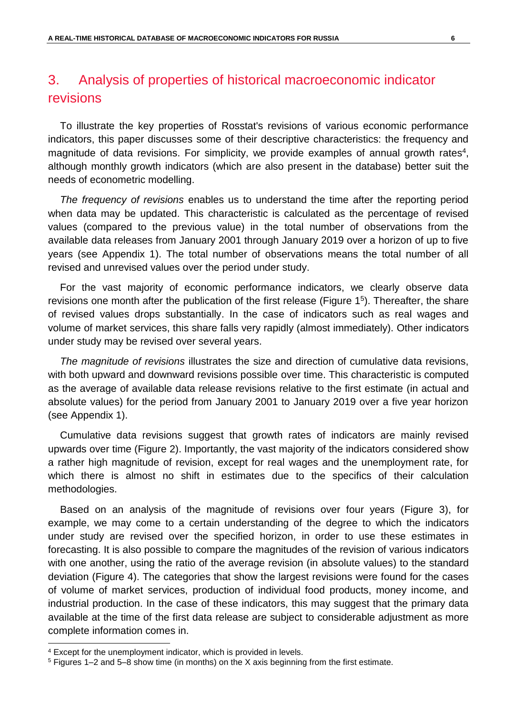## 3. Analysis of properties of historical macroeconomic indicator revisions

To illustrate the key properties of Rosstat's revisions of various economic performance indicators, this paper discusses some of their descriptive characteristics: the frequency and magnitude of data revisions. For simplicity, we provide examples of annual growth rates<sup>4</sup>, although monthly growth indicators (which are also present in the database) better suit the needs of econometric modelling.

*The frequency of revisions* enables us to understand the time after the reporting period when data may be updated. This characteristic is calculated as the percentage of revised values (compared to the previous value) in the total number of observations from the available data releases from January 2001 through January 2019 over a horizon of up to five years (see Appendix 1). The total number of observations means the total number of all revised and unrevised values over the period under study.

For the vast majority of economic performance indicators, we clearly observe data revisions one month after the publication of the first release [\(Figure](#page-8-0) 1<sup>5</sup>). Thereafter, the share of revised values drops substantially. In the case of indicators such as real wages and volume of market services, this share falls very rapidly (almost immediately). Other indicators under study may be revised over several years.

*The magnitude of revisions* illustrates the size and direction of cumulative data revisions, with both upward and downward revisions possible over time. This characteristic is computed as the average of available data release revisions relative to the first estimate (in actual and absolute values) for the period from January 2001 to January 2019 over a five year horizon (see Appendix 1).

Cumulative data revisions suggest that growth rates of indicators are mainly revised upwards over time [\(Figure](#page-8-1) 2). Importantly, the vast majority of the indicators considered show a rather high magnitude of revision, except for real wages and the unemployment rate, for which there is almost no shift in estimates due to the specifics of their calculation methodologies.

Based on an analysis of the magnitude of revisions over four years [\(Figure](#page-9-0) 3), for example, we may come to a certain understanding of the degree to which the indicators under study are revised over the specified horizon, in order to use these estimates in forecasting. It is also possible to compare the magnitudes of the revision of various indicators with one another, using the ratio of the average revision (in absolute values) to the standard deviation [\(Figure](#page-9-1) 4). The categories that show the largest revisions were found for the cases of volume of market services, production of individual food products, money income, and industrial production. In the case of these indicators, this may suggest that the primary data available at the time of the first data release are subject to considerable adjustment as more complete information comes in.

<sup>4</sup> Except for the unemployment indicator, which is provided in levels.

<sup>5</sup> Figures 1–2 and 5–8 show time (in months) on the X axis beginning from the first estimate.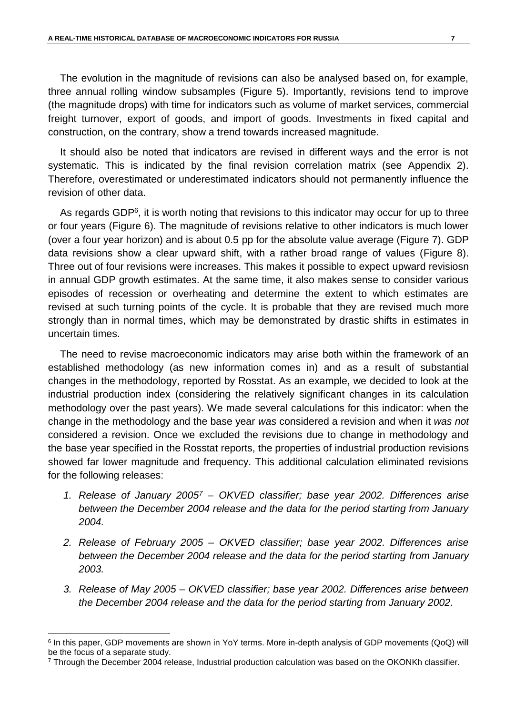The evolution in the magnitude of revisions can also be analysed based on, for example, three annual rolling window subsamples [\(Figure](#page-10-0) 5). Importantly, revisions tend to improve (the magnitude drops) with time for indicators such as volume of market services, commercial freight turnover, export of goods, and import of goods. Investments in fixed capital and construction, on the contrary, show a trend towards increased magnitude.

It should also be noted that indicators are revised in different ways and the error is not systematic. This is indicated by the final revision correlation matrix (see Appendix 2). Therefore, overestimated or underestimated indicators should not permanently influence the revision of other data.

As regards GDP<sup>6</sup>, it is worth noting that revisions to this indicator may occur for up to three or four years [\(Figure](#page-10-1) 6). The magnitude of revisions relative to other indicators is much lower (over a four year horizon) and is about 0.5 pp for the absolute value average [\(Figure](#page-10-2) 7). GDP data revisions show a clear upward shift, with a rather broad range of values [\(Figure](#page-11-0) 8). Three out of four revisions were increases. This makes it possible to expect upward revisiosn in annual GDP growth estimates. At the same time, it also makes sense to consider various episodes of recession or overheating and determine the extent to which estimates are revised at such turning points of the cycle. It is probable that they are revised much more strongly than in normal times, which may be demonstrated by drastic shifts in estimates in uncertain times.

The need to revise macroeconomic indicators may arise both within the framework of an established methodology (as new information comes in) and as a result of substantial changes in the methodology, reported by Rosstat. As an example, we decided to look at the industrial production index (considering the relatively significant changes in its calculation methodology over the past years). We made several calculations for this indicator: when the change in the methodology and the base year *was* considered a revision and when it *was not* considered a revision. Once we excluded the revisions due to change in methodology and the base year specified in the Rosstat reports, the properties of industrial production revisions showed far lower magnitude and frequency. This additional calculation eliminated revisions for the following releases:

- *1. Release of January 2005<sup>7</sup> – OKVED classifier; base year 2002. Differences arise between the December 2004 release and the data for the period starting from January 2004.*
- *2. Release of February 2005 – OKVED classifier; base year 2002. Differences arise between the December 2004 release and the data for the period starting from January 2003.*
- *3. Release of May 2005 – OKVED classifier; base year 2002. Differences arise between the December 2004 release and the data for the period starting from January 2002.*

 $\overline{a}$ 

<sup>6</sup> In this paper, GDP movements are shown in YoY terms. More in-depth analysis of GDP movements (QoQ) will be the focus of a separate study.

<sup>7</sup> Through the December 2004 release, Industrial production calculation was based on the OKONKh classifier.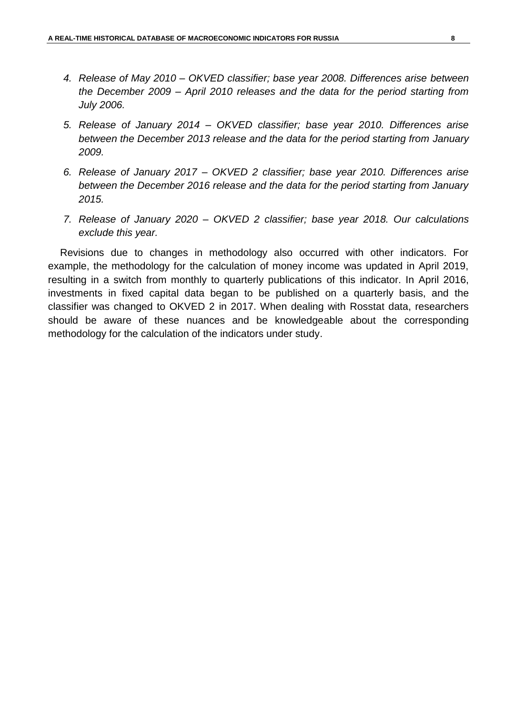- *4. Release of May 2010 – OKVED classifier; base year 2008. Differences arise between the December 2009 – April 2010 releases and the data for the period starting from July 2006.*
- *5. Release of January 2014 – OKVED classifier; base year 2010. Differences arise between the December 2013 release and the data for the period starting from January 2009.*
- *6. Release of January 2017 – OKVED 2 classifier; base year 2010. Differences arise between the December 2016 release and the data for the period starting from January 2015.*
- *7. Release of January 2020 – OKVED 2 classifier; base year 2018. Our calculations exclude this year.*

Revisions due to changes in methodology also occurred with other indicators. For example, the methodology for the calculation of money income was updated in April 2019, resulting in a switch from monthly to quarterly publications of this indicator. In April 2016, investments in fixed capital data began to be published on a quarterly basis, and the classifier was changed to OKVED 2 in 2017. When dealing with Rosstat data, researchers should be aware of these nuances and be knowledgeable about the corresponding methodology for the calculation of the indicators under study.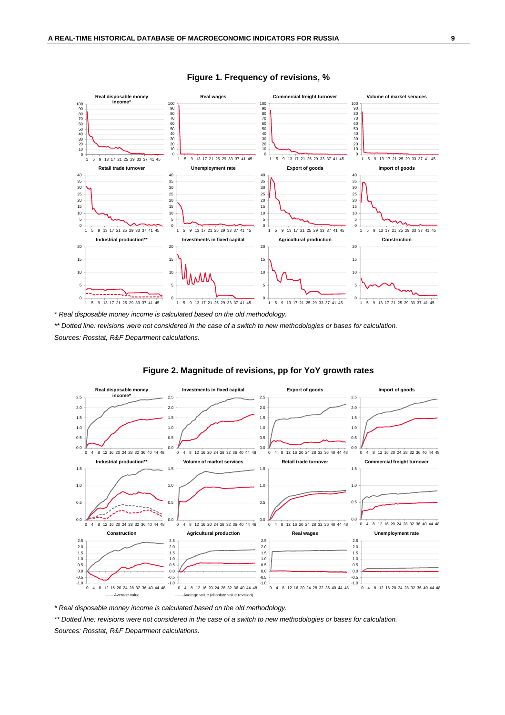<span id="page-8-0"></span>

**Figure 1. Frequency of revisions, %**

*\* Real disposable money income is calculated based on the old methodology.*

*\*\* Dotted line: revisions were not considered in the case of a switch to new methodologies or bases for calculation. Sources: Rosstat, R&F Department calculations.*

<span id="page-8-1"></span>

#### **Figure 2. Magnitude of revisions, pp for YoY growth rates**

*\* Real disposable money income is calculated based on the old methodology.*

*\*\* Dotted line: revisions were not considered in the case of a switch to new methodologies or bases for calculation.*

*Sources: Rosstat, R&F Department calculations.*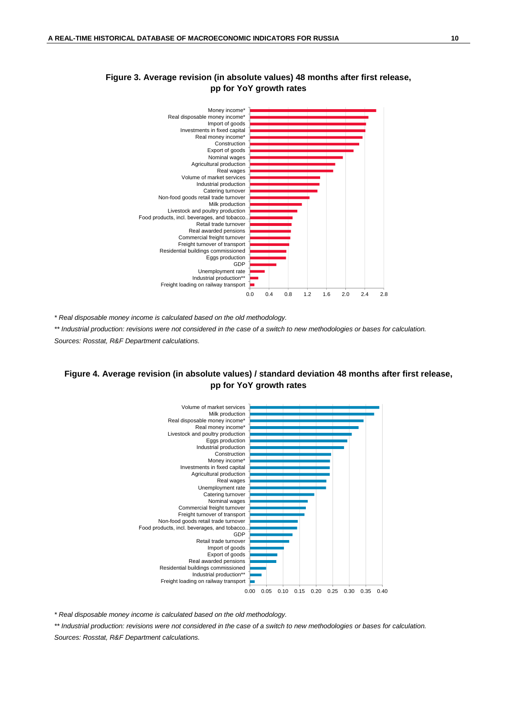

### <span id="page-9-0"></span>**Figure 3. Average revision (in absolute values) 48 months after first release, pp for YoY growth rates**

*\* Real disposable money income is calculated based on the old methodology.*

*\*\* Industrial production: revisions were not considered in the case of a switch to new methodologies or bases for calculation. Sources: Rosstat, R&F Department calculations.*

### <span id="page-9-1"></span>**Figure 4. Average revision (in absolute values) / standard deviation 48 months after first release, pp for YoY growth rates**



*\* Real disposable money income is calculated based on the old methodology.*

*\*\* Industrial production: revisions were not considered in the case of a switch to new methodologies or bases for calculation. Sources: Rosstat, R&F Department calculations.*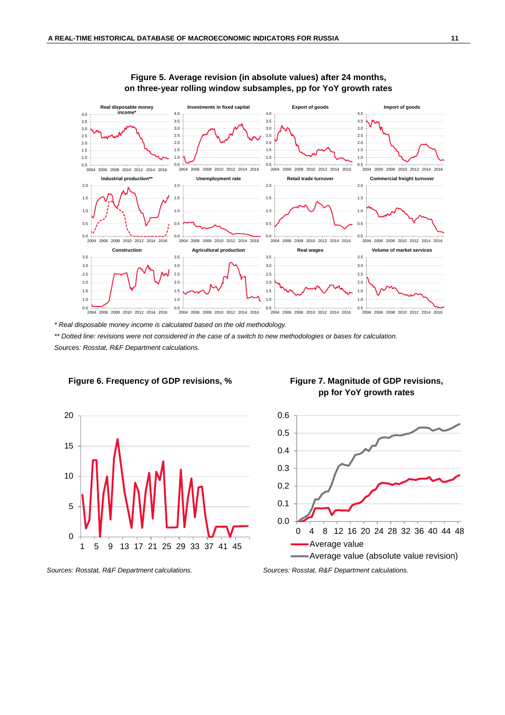<span id="page-10-0"></span>

#### **Figure 5. Average revision (in absolute values) after 24 months, on three-year rolling window subsamples, pp for YoY growth rates**

*\* Real disposable money income is calculated based on the old methodology.*

*\*\* Dotted line: revisions were not considered in the case of a switch to new methodologies or bases for calculation. Sources: Rosstat, R&F Department calculations.*



<span id="page-10-1"></span>

<span id="page-10-2"></span>

*Sources: Rosstat, R&F Department calculations. Sources: Rosstat, R&F Department calculations.*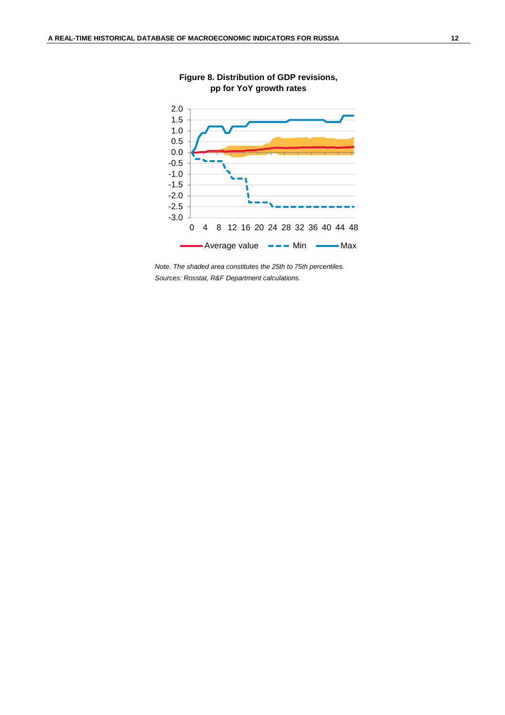<span id="page-11-0"></span>

**Figure 8. Distribution of GDP revisions, pp for YoY growth rates**

*Note. The shaded area constitutes the 25th to 75th percentiles. Sources: Rosstat, R&F Department calculations.*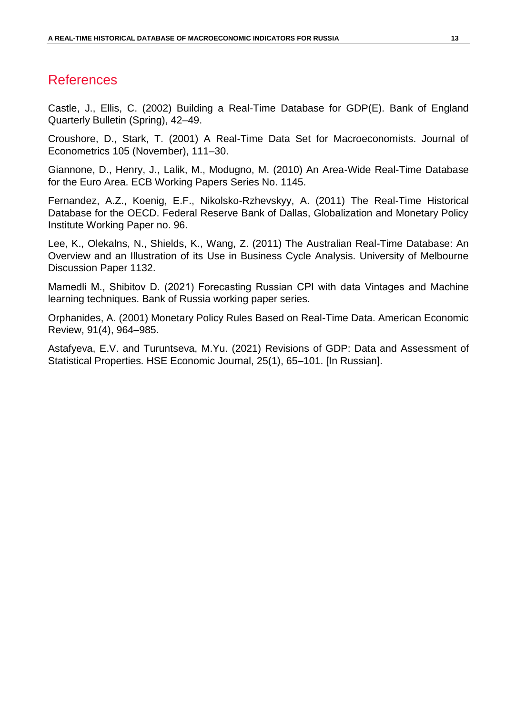## References

Castle, J., Ellis, C. (2002) Building a Real-Time Database for GDP(E). Bank of England Quarterly Bulletin (Spring), 42–49.

Croushore, D., Stark, T. (2001) A Real-Time Data Set for Macroeconomists. Journal of Econometrics 105 (November), 111–30.

Giannone, D., Henry, J., Lalik, M., Modugno, M. (2010) An Area-Wide Real-Time Database for the Euro Area. ECB Working Papers Series No. 1145.

Fernandez, A.Z., Koenig, E.F., Nikolsko-Rzhevskyy, A. (2011) The Real-Time Historical Database for the OECD. Federal Reserve Bank of Dallas, Globalization and Monetary Policy Institute Working Paper no. 96.

Lee, K., Olekalns, N., Shields, K., Wang, Z. (2011) The Australian Real-Time Database: An Overview and an Illustration of its Use in Business Cycle Analysis. University of Melbourne Discussion Paper 1132.

Mamedli М., Shibitov D. (2021) Forecasting Russian CPI with data Vintages and Machine learning techniques. Bank of Russia working paper series.

Orphanides, A. (2001) Monetary Policy Rules Based on Real-Time Data. American Economic Review, 91(4), 964–985.

Astafyeva, E.V. and Turuntseva, M.Yu. (2021) Revisions of GDP: Data and Assessment of Statistical Properties. HSE Economic Journal, 25(1), 65–101. [In Russian].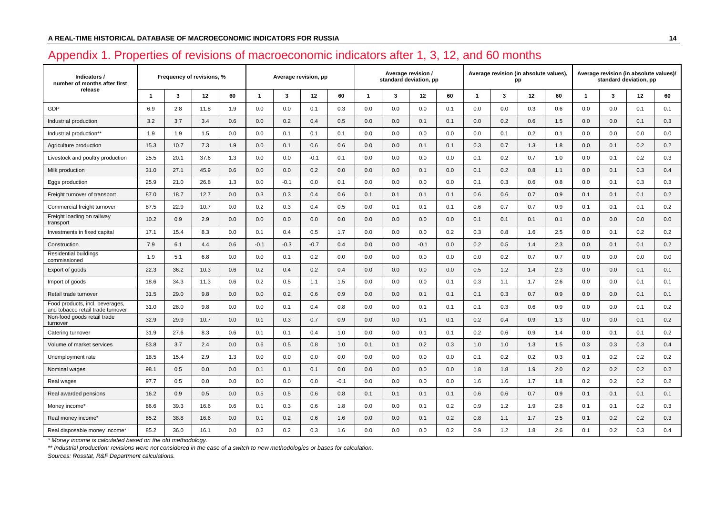## Appendix 1. Properties of revisions of macroeconomic indicators after 1, 3, 12, and 60 months

| Indicators /<br>number of months after first                         |                         |      | Frequency of revisions, % |     | Average revision, pp |                         |        |        |              | standard deviation, pp | Average revision / |     |                |         | Average revision (in absolute values),<br>pp |     | Average revision (in absolute values)/<br>standard deviation, pp |     |     |     |  |
|----------------------------------------------------------------------|-------------------------|------|---------------------------|-----|----------------------|-------------------------|--------|--------|--------------|------------------------|--------------------|-----|----------------|---------|----------------------------------------------|-----|------------------------------------------------------------------|-----|-----|-----|--|
| release                                                              | $\overline{\mathbf{1}}$ | 3    | 12                        | 60  | $\mathbf{1}$         | $\overline{\mathbf{3}}$ | 12     | 60     | $\mathbf{1}$ | 3                      | 12                 | 60  | $\overline{1}$ | 3       | 12                                           | 60  | $\overline{1}$                                                   | 3   | 12  | 60  |  |
| GDP                                                                  | 6.9                     | 2.8  | 11.8                      | 1.9 | 0.0                  | 0.0                     | 0.1    | 0.3    | 0.0          | 0.0                    | 0.0                | 0.1 | 0.0            | $0.0\,$ | 0.3                                          | 0.6 | 0.0                                                              | 0.0 | 0.1 | 0.1 |  |
| Industrial production                                                | 3.2                     | 3.7  | 3.4                       | 0.6 | 0.0                  | 0.2                     | 0.4    | 0.5    | 0.0          | 0.0                    | 0.1                | 0.1 | 0.0            | 0.2     | 0.6                                          | 1.5 | 0.0                                                              | 0.0 | 0.1 | 0.3 |  |
| Industrial production**                                              | 1.9                     | 1.9  | 1.5                       | 0.0 | 0.0                  | 0.1                     | 0.1    | 0.1    | 0.0          | 0.0                    | 0.0                | 0.0 | 0.0            | 0.1     | 0.2                                          | 0.1 | 0.0                                                              | 0.0 | 0.0 | 0.0 |  |
| Agriculture production                                               | 15.3                    | 10.7 | 7.3                       | 1.9 | 0.0                  | 0.1                     | 0.6    | 0.6    | 0.0          | 0.0                    | 0.1                | 0.1 | 0.3            | 0.7     | 1.3                                          | 1.8 | 0.0                                                              | 0.1 | 0.2 | 0.2 |  |
| Livestock and poultry production                                     | 25.5                    | 20.1 | 37.6                      | 1.3 | 0.0                  | 0.0                     | $-0.1$ | 0.1    | 0.0          | 0.0                    | 0.0                | 0.0 | 0.1            | 0.2     | 0.7                                          | 1.0 | 0.0                                                              | 0.1 | 0.2 | 0.3 |  |
| Milk production                                                      | 31.0                    | 27.1 | 45.9                      | 0.6 | 0.0                  | 0.0                     | 0.2    | 0.0    | 0.0          | 0.0                    | 0.1                | 0.0 | 0.1            | 0.2     | 0.8                                          | 1.1 | 0.0                                                              | 0.1 | 0.3 | 0.4 |  |
| Eggs production                                                      | 25.9                    | 21.0 | 26.8                      | 1.3 | 0.0                  | $-0.1$                  | 0.0    | 0.1    | 0.0          | 0.0                    | 0.0                | 0.0 | 0.1            | 0.3     | 0.6                                          | 0.8 | 0.0                                                              | 0.1 | 0.3 | 0.3 |  |
| Freight turnover of transport                                        | 87.0                    | 18.7 | 12.7                      | 0.0 | 0.3                  | 0.3                     | 0.4    | 0.6    | 0.1          | 0.1                    | 0.1                | 0.1 | 0.6            | 0.6     | 0.7                                          | 0.9 | 0.1                                                              | 0.1 | 0.1 | 0.2 |  |
| Commercial freight turnover                                          | 87.5                    | 22.9 | 10.7                      | 0.0 | 0.2                  | 0.3                     | 0.4    | 0.5    | 0.0          | 0.1                    | 0.1                | 0.1 | 0.6            | 0.7     | 0.7                                          | 0.9 | 0.1                                                              | 0.1 | 0.1 | 0.2 |  |
| Freight loading on railway<br>transport                              | 10.2                    | 0.9  | 2.9                       | 0.0 | 0.0                  | 0.0                     | 0.0    | 0.0    | 0.0          | 0.0                    | 0.0                | 0.0 | 0.1            | 0.1     | 0.1                                          | 0.1 | 0.0                                                              | 0.0 | 0.0 | 0.0 |  |
| Investments in fixed capital                                         | 17.1                    | 15.4 | 8.3                       | 0.0 | 0.1                  | 0.4                     | 0.5    | 1.7    | 0.0          | 0.0                    | 0.0                | 0.2 | 0.3            | 0.8     | 1.6                                          | 2.5 | 0.0                                                              | 0.1 | 0.2 | 0.2 |  |
| Construction                                                         | 7.9                     | 6.1  | 4.4                       | 0.6 | $-0.1$               | $-0.3$                  | $-0.7$ | 0.4    | 0.0          | 0.0                    | $-0.1$             | 0.0 | 0.2            | 0.5     | 1.4                                          | 2.3 | 0.0                                                              | 0.1 | 0.1 | 0.2 |  |
| Residential buildings<br>commissioned                                | 1.9                     | 5.1  | 6.8                       | 0.0 | 0.0                  | 0.1                     | 0.2    | 0.0    | 0.0          | 0.0                    | 0.0                | 0.0 | 0.0            | 0.2     | 0.7                                          | 0.7 | 0.0                                                              | 0.0 | 0.0 | 0.0 |  |
| Export of goods                                                      | 22.3                    | 36.2 | 10.3                      | 0.6 | 0.2                  | 0.4                     | 0.2    | 0.4    | 0.0          | 0.0                    | 0.0                | 0.0 | 0.5            | 1.2     | 1.4                                          | 2.3 | 0.0                                                              | 0.0 | 0.1 | 0.1 |  |
| Import of goods                                                      | 18.6                    | 34.3 | 11.3                      | 0.6 | 0.2                  | 0.5                     | 1.1    | 1.5    | 0.0          | 0.0                    | 0.0                | 0.1 | 0.3            | 1.1     | 1.7                                          | 2.6 | 0.0                                                              | 0.0 | 0.1 | 0.1 |  |
| Retail trade turnover                                                | 31.5                    | 29.0 | 9.8                       | 0.0 | 0.0                  | 0.2                     | 0.6    | 0.9    | 0.0          | 0.0                    | 0.1                | 0.1 | 0.1            | 0.3     | 0.7                                          | 0.9 | 0.0                                                              | 0.0 | 0.1 | 0.1 |  |
| Food products, incl. beverages,<br>and tobacco retail trade turnover | 31.0                    | 28.0 | 9.8                       | 0.0 | 0.0                  | 0.1                     | 0.4    | 0.8    | 0.0          | 0.0                    | 0.1                | 0.1 | 0.1            | 0.3     | 0.6                                          | 0.9 | 0.0                                                              | 0.0 | 0.1 | 0.2 |  |
| Non-food goods retail trade<br>turnover                              | 32.9                    | 29.9 | 10.7                      | 0.0 | 0.1                  | 0.3                     | 0.7    | 0.9    | 0.0          | 0.0                    | 0.1                | 0.1 | 0.2            | 0.4     | 0.9                                          | 1.3 | 0.0                                                              | 0.0 | 0.1 | 0.2 |  |
| Catering turnover                                                    | 31.9                    | 27.6 | 8.3                       | 0.6 | 0.1                  | 0.1                     | 0.4    | 1.0    | 0.0          | 0.0                    | 0.1                | 0.1 | 0.2            | 0.6     | 0.9                                          | 1.4 | 0.0                                                              | 0.1 | 0.1 | 0.2 |  |
| Volume of market services                                            | 83.8                    | 3.7  | 2.4                       | 0.0 | 0.6                  | 0.5                     | 0.8    | 1.0    | 0.1          | 0.1                    | 0.2                | 0.3 | 1.0            | 1.0     | 1.3                                          | 1.5 | 0.3                                                              | 0.3 | 0.3 | 0.4 |  |
| Unemployment rate                                                    | 18.5                    | 15.4 | 2.9                       | 1.3 | 0.0                  | 0.0                     | 0.0    | 0.0    | 0.0          | 0.0                    | 0.0                | 0.0 | 0.1            | 0.2     | 0.2                                          | 0.3 | 0.1                                                              | 0.2 | 0.2 | 0.2 |  |
| Nominal wages                                                        | 98.1                    | 0.5  | 0.0                       | 0.0 | 0.1                  | 0.1                     | 0.1    | 0.0    | 0.0          | 0.0                    | 0.0                | 0.0 | 1.8            | 1.8     | 1.9                                          | 2.0 | 0.2                                                              | 0.2 | 0.2 | 0.2 |  |
| Real wages                                                           | 97.7                    | 0.5  | 0.0                       | 0.0 | 0.0                  | 0.0                     | 0.0    | $-0.1$ | 0.0          | 0.0                    | 0.0                | 0.0 | 1.6            | 1.6     | 1.7                                          | 1.8 | 0.2                                                              | 0.2 | 0.2 | 0.2 |  |
| Real awarded pensions                                                | 16.2                    | 0.9  | 0.5                       | 0.0 | 0.5                  | 0.5                     | 0.6    | 0.8    | 0.1          | 0.1                    | 0.1                | 0.1 | 0.6            | 0.6     | 0.7                                          | 0.9 | 0.1                                                              | 0.1 | 0.1 | 0.1 |  |
| Money income*                                                        | 86.6                    | 39.3 | 16.6                      | 0.6 | 0.1                  | 0.3                     | 0.6    | 1.8    | 0.0          | 0.0                    | 0.1                | 0.2 | 0.9            | 1.2     | 1.9                                          | 2.8 | 0.1                                                              | 0.1 | 0.2 | 0.3 |  |
| Real money income*                                                   | 85.2                    | 38.8 | 16.6                      | 0.0 | 0.1                  | 0.2                     | 0.6    | 1.6    | 0.0          | 0.0                    | 0.1                | 0.2 | 0.8            | 1.1     | 1.7                                          | 2.5 | 0.1                                                              | 0.2 | 0.2 | 0.3 |  |
| Real disposable money income*                                        | 85.2                    | 36.0 | 16.1                      | 0.0 | 0.2                  | 0.2                     | 0.3    | 1.6    | 0.0          | 0.0                    | 0.0                | 0.2 | 0.9            | 1.2     | 1.8                                          | 2.6 | 0.1                                                              | 0.2 | 0.3 | 0.4 |  |

*\* Money income is calculated based on the old methodology.*

*\*\* Industrial production: revisions were not considered in the case of a switch to new methodologies or bases for calculation.*

*Sources: Rosstat, R&F Department calculations.*